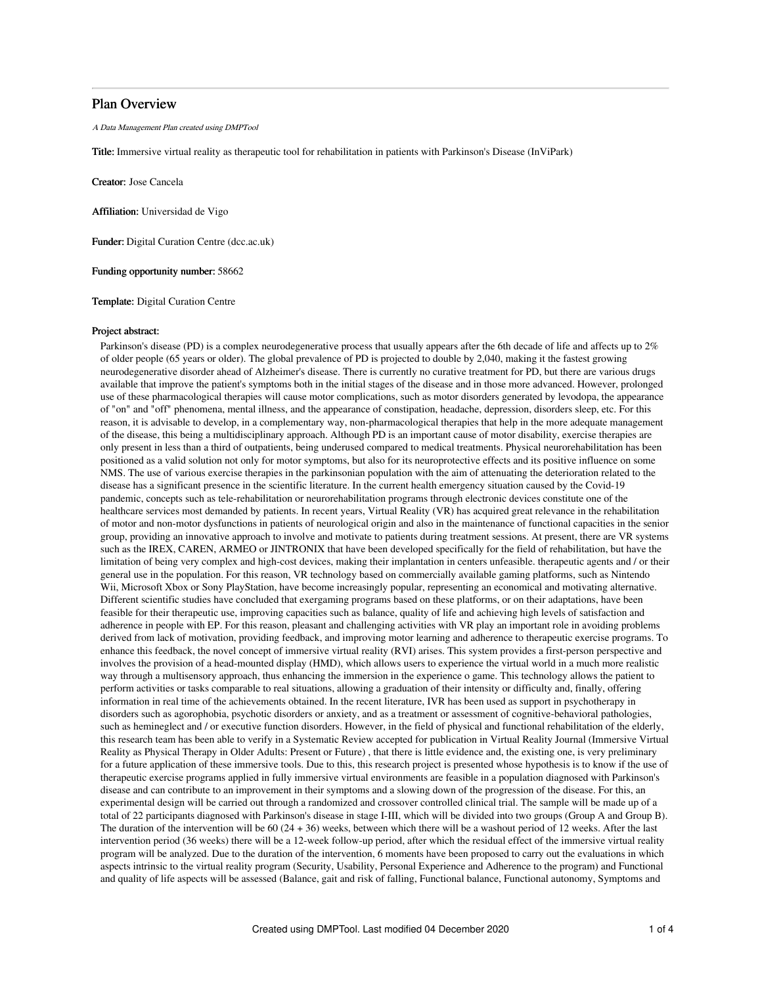# Plan Overview

A Data Management Plan created using DMPTool

Title: Immersive virtual reality as therapeutic tool for rehabilitation in patients with Parkinson's Disease (InViPark)

Creator: Jose Cancela

Affiliation: Universidad de Vigo

Funder: Digital Curation Centre (dcc.ac.uk)

Funding opportunity number: 58662

Template: Digital Curation Centre

### Project abstract:

Parkinson's disease (PD) is a complex neurodegenerative process that usually appears after the 6th decade of life and affects up to 2% of older people (65 years or older). The global prevalence of PD is projected to double by 2,040, making it the fastest growing neurodegenerative disorder ahead of Alzheimer's disease. There is currently no curative treatment for PD, but there are various drugs available that improve the patient's symptoms both in the initial stages of the disease and in those more advanced. However, prolonged use of these pharmacological therapies will cause motor complications, such as motor disorders generated by levodopa, the appearance of "on" and "off" phenomena, mental illness, and the appearance of constipation, headache, depression, disorders sleep, etc. For this reason, it is advisable to develop, in a complementary way, non-pharmacological therapies that help in the more adequate management of the disease, this being a multidisciplinary approach. Although PD is an important cause of motor disability, exercise therapies are only present in less than a third of outpatients, being underused compared to medical treatments. Physical neurorehabilitation has been positioned as a valid solution not only for motor symptoms, but also for its neuroprotective effects and its positive influence on some NMS. The use of various exercise therapies in the parkinsonian population with the aim of attenuating the deterioration related to the disease has a significant presence in the scientific literature. In the current health emergency situation caused by the Covid-19 pandemic, concepts such as tele-rehabilitation or neurorehabilitation programs through electronic devices constitute one of the healthcare services most demanded by patients. In recent years, Virtual Reality (VR) has acquired great relevance in the rehabilitation of motor and non-motor dysfunctions in patients of neurological origin and also in the maintenance of functional capacities in the senior group, providing an innovative approach to involve and motivate to patients during treatment sessions. At present, there are VR systems such as the IREX, CAREN, ARMEO or JINTRONIX that have been developed specifically for the field of rehabilitation, but have the limitation of being very complex and high-cost devices, making their implantation in centers unfeasible. therapeutic agents and / or their general use in the population. For this reason, VR technology based on commercially available gaming platforms, such as Nintendo Wii, Microsoft Xbox or Sony PlayStation, have become increasingly popular, representing an economical and motivating alternative. Different scientific studies have concluded that exergaming programs based on these platforms, or on their adaptations, have been feasible for their therapeutic use, improving capacities such as balance, quality of life and achieving high levels of satisfaction and adherence in people with EP. For this reason, pleasant and challenging activities with VR play an important role in avoiding problems derived from lack of motivation, providing feedback, and improving motor learning and adherence to therapeutic exercise programs. To enhance this feedback, the novel concept of immersive virtual reality (RVI) arises. This system provides a first-person perspective and involves the provision of a head-mounted display (HMD), which allows users to experience the virtual world in a much more realistic way through a multisensory approach, thus enhancing the immersion in the experience o game. This technology allows the patient to perform activities or tasks comparable to real situations, allowing a graduation of their intensity or difficulty and, finally, offering information in real time of the achievements obtained. In the recent literature, IVR has been used as support in psychotherapy in disorders such as agorophobia, psychotic disorders or anxiety, and as a treatment or assessment of cognitive-behavioral pathologies, such as hemineglect and / or executive function disorders. However, in the field of physical and functional rehabilitation of the elderly, this research team has been able to verify in a Systematic Review accepted for publication in Virtual Reality Journal (Immersive Virtual Reality as Physical Therapy in Older Adults: Present or Future) , that there is little evidence and, the existing one, is very preliminary for a future application of these immersive tools. Due to this, this research project is presented whose hypothesis is to know if the use of therapeutic exercise programs applied in fully immersive virtual environments are feasible in a population diagnosed with Parkinson's disease and can contribute to an improvement in their symptoms and a slowing down of the progression of the disease. For this, an experimental design will be carried out through a randomized and crossover controlled clinical trial. The sample will be made up of a total of 22 participants diagnosed with Parkinson's disease in stage I-III, which will be divided into two groups (Group A and Group B). The duration of the intervention will be 60 (24 + 36) weeks, between which there will be a washout period of 12 weeks. After the last intervention period (36 weeks) there will be a 12-week follow-up period, after which the residual effect of the immersive virtual reality program will be analyzed. Due to the duration of the intervention, 6 moments have been proposed to carry out the evaluations in which aspects intrinsic to the virtual reality program (Security, Usability, Personal Experience and Adherence to the program) and Functional and quality of life aspects will be assessed (Balance, gait and risk of falling, Functional balance, Functional autonomy, Symptoms and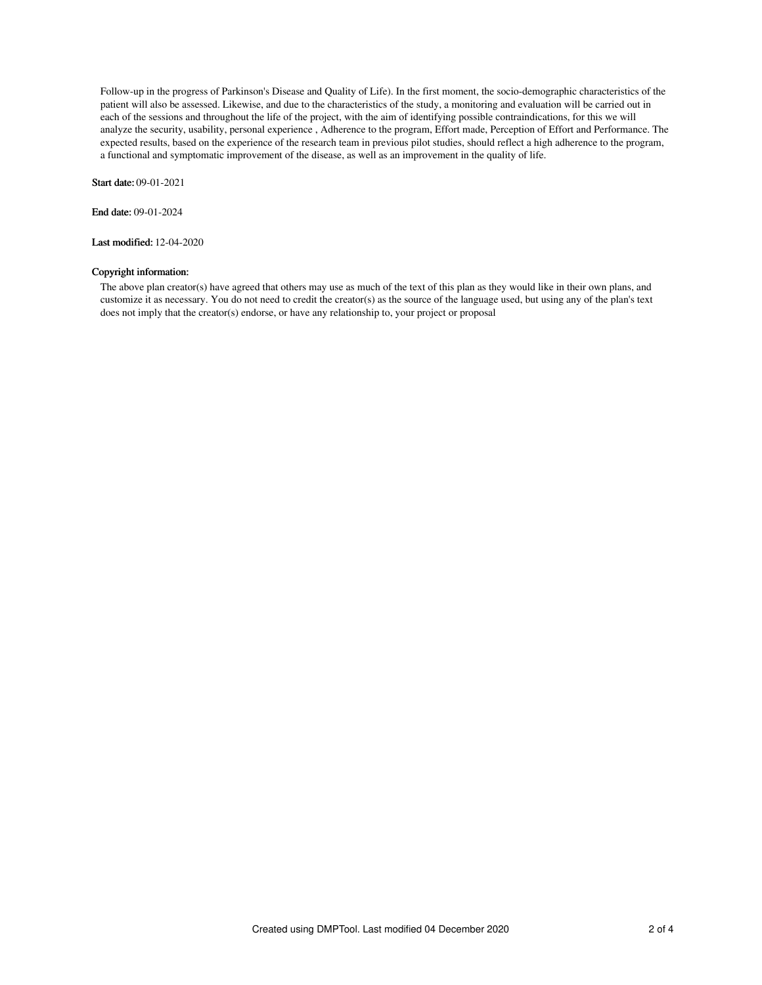Follow-up in the progress of Parkinson's Disease and Quality of Life). In the first moment, the socio-demographic characteristics of the patient will also be assessed. Likewise, and due to the characteristics of the study, a monitoring and evaluation will be carried out in each of the sessions and throughout the life of the project, with the aim of identifying possible contraindications, for this we will analyze the security, usability, personal experience , Adherence to the program, Effort made, Perception of Effort and Performance. The expected results, based on the experience of the research team in previous pilot studies, should reflect a high adherence to the program, a functional and symptomatic improvement of the disease, as well as an improvement in the quality of life.

Start date: 09-01-2021

End date: 09-01-2024

Last modified: 12-04-2020

## Copyright information:

The above plan creator(s) have agreed that others may use as much of the text of this plan as they would like in their own plans, and customize it as necessary. You do not need to credit the creator(s) as the source of the language used, but using any of the plan's text does not imply that the creator(s) endorse, or have any relationship to, your project or proposal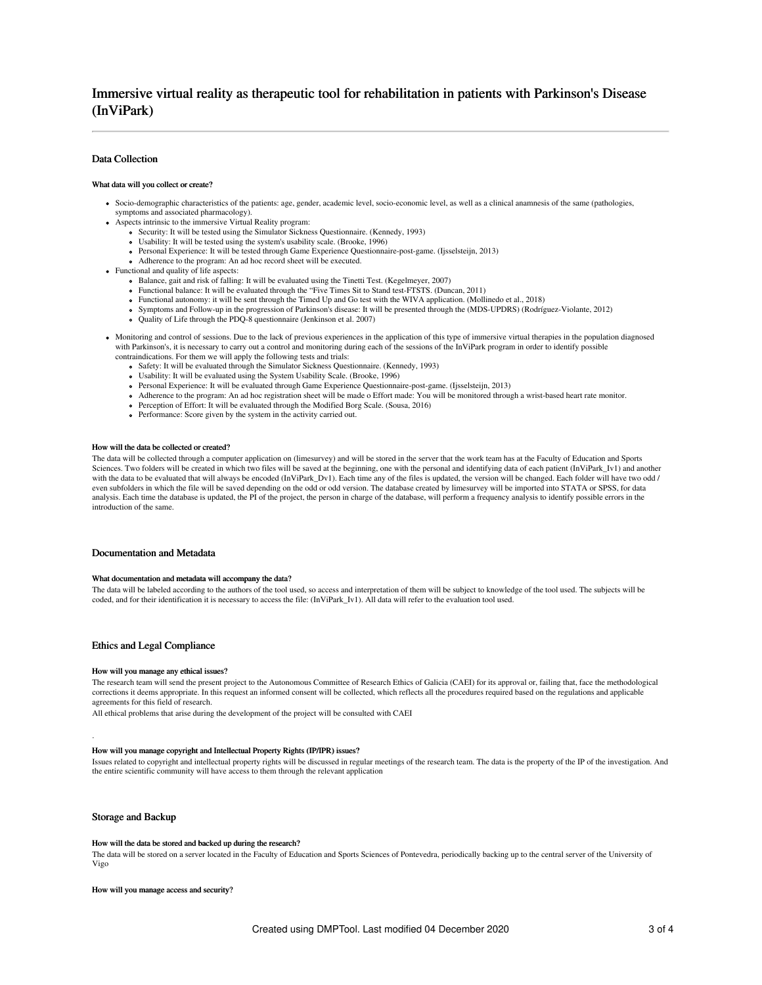## Data Collection

#### What data will you collect or create?

- Socio-demographic characteristics of the patients: age, gender, academic level, socio-economic level, as well as a clinical anamnesis of the same (pathologies, symptoms and associated pharmacology).
- Aspects intrinsic to the immersive Virtual Reality program:
	- Security: It will be tested using the Simulator Sickness Questionnaire. (Kennedy, 1993)
	- Usability: It will be tested using the system's usability scale. (Brooke, 1996)
	- Personal Experience: It will be tested through Game Experience Questionnaire-post-game. (Ijsselsteijn, 2013)
	- Adherence to the program: An ad hoc record sheet will be executed.
- Functional and quality of life aspects:
	- Balance, gait and risk of falling: It will be evaluated using the Tinetti Test. (Kegelmeyer, 2007)
	- Functional balance: It will be evaluated through the "Five Times Sit to Stand test-FTSTS. (Duncan, 2011)
	- Functional autonomy: it will be sent through the Timed Up and Go test with the WIVA application. (Mollinedo et al., 2018)
	- Symptoms and Follow-up in the progression of Parkinson's disease: It will be presented through the (MDS-UPDRS) (Rodríguez-Violante, 2012)
	- Quality of Life through the PDQ-8 questionnaire (Jenkinson et al. 2007)
- Monitoring and control of sessions. Due to the lack of previous experiences in the application of this type of immersive virtual therapies in the population diagnosed with Parkinson's, it is necessary to carry out a control and monitoring during each of the sessions of the InViPark program in order to identify possible contraindications. For them we will apply the following tests and trials:
	- Safety: It will be evaluated through the Simulator Sickness Questionnaire. (Kennedy, 1993)
	- Usability: It will be evaluated using the System Usability Scale. (Brooke, 1996)
	- Personal Experience: It will be evaluated through Game Experience Questionnaire-post-game. (Ijsselsteijn, 2013)
	- Adherence to the program: An ad hoc registration sheet will be made o Effort made: You will be monitored through a wrist-based heart rate monitor.
	- Perception of Effort: It will be evaluated through the Modified Borg Scale. (Sousa, 2016)
	- Performance: Score given by the system in the activity carried out.

#### How will the data be collected or created?

The data will be collected through a computer application on (limesurvey) and will be stored in the server that the work team has at the Faculty of Education and Sports Sciences. Two folders will be created in which two files will be saved at the beginning, one with the personal and identifying data of each patient (InViPark\_Iv1) and another with the data to be evaluated that will always be encoded (InViPark\_Dv1). Each time any of the files is updated, the version will be changed. Each folder will have two odd / even subfolders in which the file will be saved depending on the odd or odd version. The database created by limesurvey will be imported into STATA or SPSS, for data analysis. Each time the database is updated, the PI of the project, the person in charge of the database, will perform a frequency analysis to identify possible errors in the introduction of the same.

### Documentation and Metadata

#### What documentation and metadata will accompany the data?

The data will be labeled according to the authors of the tool used, so access and interpretation of them will be subject to knowledge of the tool used. The subjects will be coded, and for their identification it is necessary to access the file: (InViPark\_Iv1). All data will refer to the evaluation tool used.

### Ethics and Legal Compliance

#### How will you manage any ethical issues?

The research team will send the present project to the Autonomous Committee of Research Ethics of Galicia (CAEI) for its approval or, failing that, face the methodological corrections it deems appropriate. In this request an informed consent will be collected, which reflects all the procedures required based on the regulations and applicable agreements for this field of research.

All ethical problems that arise during the development of the project will be consulted with CAEI

#### How will you manage copyright and Intellectual Property Rights (IP/IPR) issues?

Issues related to copyright and intellectual property rights will be discussed in regular meetings of the research team. The data is the property of the IP of the investigation. And the entire scientific community will have access to them through the relevant application

### Storage and Backup

.

### How will the data be stored and backed up during the research?

The data will be stored on a server located in the Faculty of Education and Sports Sciences of Pontevedra, periodically backing up to the central server of the University of Vigo

How will you manage access and security?